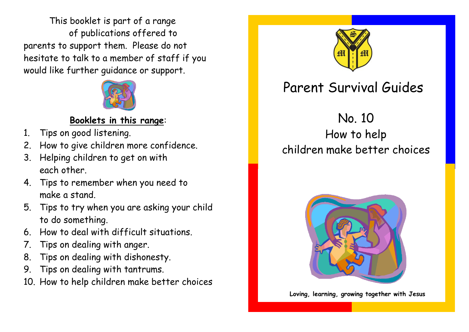This booklet is part of a range of publications offered to parents to support them. Please do not hesitate to talk to a member of staff if you would like further guidance or support.



## **Booklets in this range**:

- 1. Tips on good listening.
- 2. How to give children more confidence.
- 3. Helping children to get on with each other.
- 4. Tips to remember when you need to make a stand.
- 5. Tips to try when you are asking your child to do something.
- 6. How to deal with difficult situations.
- 7. Tips on dealing with anger.
- 8. Tips on dealing with dishonesty.
- 9. Tips on dealing with tantrums.
- 10. How to help children make better choices



## Parent Survival Guides

No. 10

How to help children make better choices



**Loving, learning, growing together with Jesus**